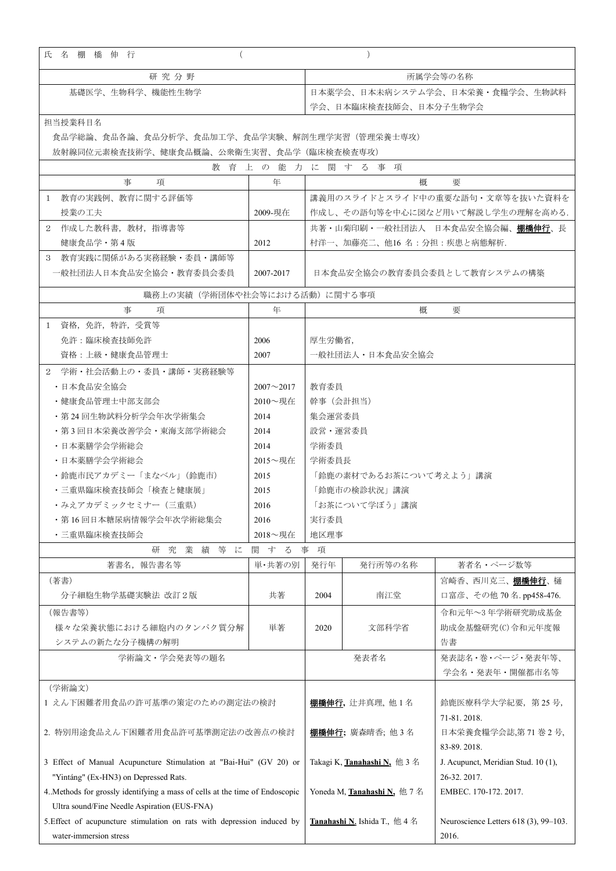| 氏 名 棚 橋 伸 行                                                                  |                  | $\left( \right)$                |                                                     |                                       |  |
|------------------------------------------------------------------------------|------------------|---------------------------------|-----------------------------------------------------|---------------------------------------|--|
| 研究分野                                                                         |                  | 所属学会等の名称                        |                                                     |                                       |  |
| 基礎医学、生物科学、機能性生物学                                                             |                  | 日本薬学会、日本未病システム学会、日本栄養・食糧学会、生物試料 |                                                     |                                       |  |
|                                                                              |                  | 学会、日本臨床検査技師会、日本分子生物学会           |                                                     |                                       |  |
| 担当授業科目名                                                                      |                  |                                 |                                                     |                                       |  |
| 食品学総論、食品各論、食品分析学、食品加工学、食品学実験、解剖生理学実習(管理栄養士専攻)                                |                  |                                 |                                                     |                                       |  |
| 放射線同位元素検査技術学、健康食品概論、公衆衛生実習、食品学(臨床検査検査専攻)                                     |                  |                                 |                                                     |                                       |  |
| 教育上の能力に関する事項                                                                 |                  |                                 |                                                     |                                       |  |
| 事<br>項                                                                       | 年                |                                 | 概                                                   | 要                                     |  |
| 1 教育の実践例、教育に関する評価等                                                           |                  |                                 |                                                     | 講義用のスライドとスライド中の重要な語句・文章等を抜いた資料を       |  |
| 授業の工夫                                                                        | 2009-現在          |                                 |                                                     | 作成し、その語句等を中心に図など用いて解説し学生の理解を高める.      |  |
| 作成した教科書,教材,指導書等<br>2                                                         |                  |                                 |                                                     | 共著・山菊印刷・一般社団法人 日本食品安全協会編、棚橋伸行、長       |  |
| 健康食品学・第4版                                                                    | 2012             |                                 | 村洋一、加藤亮二、他16名:分担:疾患と病態解析.                           |                                       |  |
| 3 教育実践に関係がある実務経験・委員・講師等                                                      |                  |                                 |                                                     |                                       |  |
| 一般社団法人日本食品安全協会・教育委員会委員                                                       | 2007-2017        | 日本食品安全協会の教育委員会委員として教育システムの構築    |                                                     |                                       |  |
| 職務上の実績(学術団体や社会等における活動)に関する事項                                                 |                  |                                 |                                                     |                                       |  |
| 事<br>項                                                                       | 年                |                                 | 概                                                   | 要                                     |  |
| 1 資格, 免許, 特許, 受賞等                                                            |                  |                                 |                                                     |                                       |  |
| 免許:臨床検査技師免許                                                                  | 2006             | 厚生労働省,                          |                                                     |                                       |  |
| 資格:上級・健康食品管理士                                                                | 2007             | 一般社団法人・日本食品安全協会                 |                                                     |                                       |  |
| 2 学術・社会活動上の・委員・講師・実務経験等                                                      |                  |                                 |                                                     |                                       |  |
| · 日本食品安全協会                                                                   | $2007 - 2017$    | 教育委員                            |                                                     |                                       |  |
| ・健康食品管理士中部支部会                                                                | $2010 -   \n  3$ | 幹事(会計担当)                        |                                                     |                                       |  |
| ・第 24 回生物試料分析学会年次学術集会                                                        | 2014             | 集会運営委員                          |                                                     |                                       |  |
| ・第3回日本栄養改善学会・東海支部学術総会                                                        | 2014             | 設営・運営委員                         |                                                     |                                       |  |
| ・日本薬膳学会学術総会                                                                  | 2014             | 学術委員                            |                                                     |                                       |  |
| ・日本薬膳学会学術総会                                                                  | $2015 \sim 44.4$ | 学術委員長                           |                                                     |                                       |  |
| ・鈴鹿市民アカデミー「まなベル」(鈴鹿市)                                                        | 2015             | 「鈴鹿の素材であるお茶について考えよう」講演          |                                                     |                                       |  |
| ・三重県臨床検査技師会「検査と健康展」                                                          | 2015             | 「鈴鹿市の検診状況」講演                    |                                                     |                                       |  |
| ・みえアカデミックセミナー(三重県)                                                           | 2016             | 「お茶について学ぼう」講演                   |                                                     |                                       |  |
| ・第16回日本糖尿病情報学会年次学術総集会                                                        | 2016             | 実行委員                            |                                                     |                                       |  |
| ・三重県臨床検査技師会                                                                  | 2018~現在          | 地区理事                            |                                                     |                                       |  |
| 究 業 績 等 に<br>事項<br>研<br>関す<br>る                                              |                  |                                 |                                                     |                                       |  |
| 著書名, 報告書名等                                                                   | 単・共著の別           | 発行年                             | 発行所等の名称                                             | 著者名・ページ数等                             |  |
| (著書)                                                                         |                  |                                 |                                                     | 宮崎香、西川克三、棚橋伸行、樋                       |  |
| 分子細胞生物学基礎実験法 改訂2版                                                            | 共著               | 2004                            | 南江堂                                                 | 口富彦、その他 70名.pp458-476.                |  |
| (報告書等)                                                                       |                  |                                 |                                                     | 令和元年~3年学術研究助成基金                       |  |
| 様々な栄養状態における細胞内のタンパク質分解                                                       | 単著               | 2020                            | 文部科学省                                               | 助成金基盤研究(C)令和元年度報                      |  |
| システムの新たな分子機構の解明                                                              |                  |                                 |                                                     | 告書                                    |  |
| 学術論文・学会発表等の題名                                                                |                  |                                 | 発表者名                                                | 発表誌名·巻·ページ·発表年等、                      |  |
|                                                                              |                  |                                 |                                                     | 学会名・発表年・開催都市名等                        |  |
| (学術論文)                                                                       |                  |                                 |                                                     |                                       |  |
| 1 えん下困難者用食品の許可基準の策定のための測定法の検討                                                |                  |                                 | <b>棚橘伸行</b> ,辻井真理,他 1 名                             | 鈴鹿医療科学大学紀要, 第25号,                     |  |
|                                                                              |                  |                                 |                                                     | 71-81.2018.                           |  |
| 2. 特別用途食品えん下困難者用食品許可基準測定法の改善点の検討                                             |                  |                                 | <b>棚橋伸行;</b> 廣森晴香; 他 3 名                            | 日本栄養食糧学会誌,第71巻2号,                     |  |
|                                                                              |                  |                                 |                                                     | 83-89.2018.                           |  |
| 3 Effect of Manual Acupuncture Stimulation at "Bai-Hui" (GV 20) or           |                  |                                 | Takagi K, <b>Tanahashi N</b> , 他 3 名                | J. Acupunct, Meridian Stud. 10 (1),   |  |
| "Yintáng" (Ex-HN3) on Depressed Rats.                                        |                  |                                 |                                                     | 26-32, 2017.                          |  |
| 4. Methods for grossly identifying a mass of cells at the time of Endoscopic |                  |                                 | Yoneda M, Tanahashi N, 他7名                          | EMBEC. 170-172. 2017.                 |  |
| Ultra sound/Fine Needle Aspiration (EUS-FNA)                                 |                  |                                 |                                                     |                                       |  |
| 5. Effect of acupuncture stimulation on rats with depression induced by      |                  |                                 | <b>Tanahashi N</b> , Ishida T., $\angle$ 4 $\angle$ | Neuroscience Letters 618 (3), 99-103. |  |
| water-immersion stress                                                       |                  |                                 |                                                     | 2016.                                 |  |